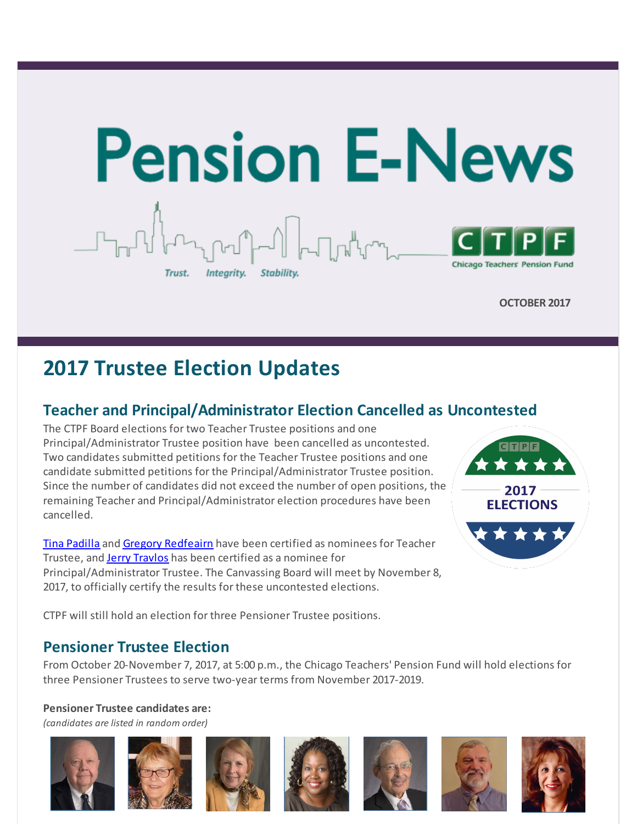

**OCTOBER 2017**

# **2017 Trustee Election Updates**

### **Teacher and Principal/Administrator Election Cancelled as Uncontested**

The CTPF Board elections for two Teacher Trustee positions and one Principal/Administrator Trustee position have been cancelled as uncontested. Two candidates submitted petitions for the Teacher Trustee positions and one candidate submitted petitions for the Principal/Administrator Trustee position. Since the number of candidates did not exceed the number of open positions, the remaining Teacher and Principal/Administrator election procedures have been cancelled.

Tina [Padilla](http://r20.rs6.net/tn.jsp?f=001obXTbCYLdPSf5tmirvZ13831Bt27ilAy1PL5QPf5xmWDEbdx9HAJxp7R6sCp9WAFQ8JWiiBd7wcXp3F3hqvXtAvXFeWMNxibgD8jA5bsoGF1jYl4DQvRDO1jwGKLCbV7EnIzYlCRWOyi4ykdsDh4SefrNraz2Q7HQMpB48ZJmU3DGbEAda_cVgHarkuqBPqrdu45MFPLQ1PUMjDa5UN5Vg==&c=&ch=) and Gregory [Redfeairn](http://r20.rs6.net/tn.jsp?f=001obXTbCYLdPSf5tmirvZ13831Bt27ilAy1PL5QPf5xmWDEbdx9HAJxp7R6sCp9WAFoHlicXrE35nmqqYZrbxoPASs_OLmq_oO6NBDmHfI8lrzXMGKAzTE6ZRwX1w_cC65ORUD50jDEGANQqXeo2_q5CCAZLrczBZqB4-t1V0dcFng8xVXJBW7GSjZ8wTKIV9wxJ0RIyHvi9tO4WjCliKeUg==&c=&ch=) have been certified as nominees for Teacher Trustee, and Jerry [Travlos](http://r20.rs6.net/tn.jsp?f=001obXTbCYLdPSf5tmirvZ13831Bt27ilAy1PL5QPf5xmWDEbdx9HAJxp7R6sCp9WAFPPfeMvo8tRjEVIB4ofucBQlZPH5WMBbecIKbxZD6bNHTYXVOSfwdG6qjetOP8LId2kPIUOz3ElUJ1Lssf8mLktYxGq4T0IlwXAgoYMYJ3HaxWDN2jom1FgSlPh4zrrskcZ_5YA5Fg4GDul6Q794tdg==&c=&ch=) has been certified as a nominee for Principal/Administrator Trustee. The Canvassing Board will meet by November 8, 2017, to officially certify the results for these uncontested elections.



CTPF will still hold an election for three Pensioner Trustee positions.

### **Pensioner Trustee Election**

From October 20-November 7, 2017, at 5:00 p.m., the Chicago Teachers' Pension Fund will hold elections for three Pensioner Trustees to serve two-year terms from November 2017-2019.

**Pensioner Trustee candidates are:** *(candidates are listed in random order)*











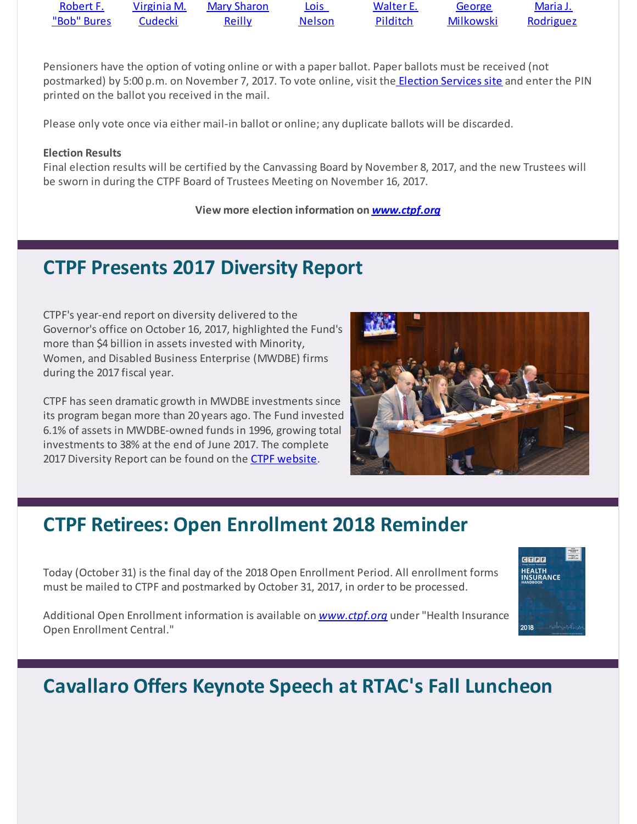| Robert F.   | Virginia M. | Mary Sharon   | Lois.         | Walter E. | George    | <u>Maria J.</u> |
|-------------|-------------|---------------|---------------|-----------|-----------|-----------------|
| "Bob" Bures | Cudecki     | <u>Reilly</u> | <b>Nelson</b> | Pilditch  | Milkowski | Rodriguez       |

Pensioners have the option of voting online or with a paper ballot. Paper ballots must be received (not postmarked) by 5:00 p.m. on November 7, 2017. To vote online, visit the **Election [Services](http://r20.rs6.net/tn.jsp?f=001obXTbCYLdPSf5tmirvZ13831Bt27ilAy1PL5QPf5xmWDEbdx9HAJxp7R6sCp9WAFzJjIeOLwsaA91DdMXvlsDcQQHmOF9FHLAR0G2L7F0URtamDQVrIAJasXKwgyFcZM82evlJcDl1Ms6TaLoi4wCrVqamEEpeRrZAwOSy4px5BcwdIoRgtzeg==&c=&ch=) site** and enter the PIN printed on the ballot you received in the mail.

Please only vote once via either mail-in ballot or online; any duplicate ballots will be discarded.

#### **Election Results**

Final election results will be certified by the Canvassing Board by November 8, 2017, and the new Trustees will be sworn in during the CTPF Board of Trustees Meeting on November 16, 2017.

#### **View more election information on** *[www.ctpf.org](http://r20.rs6.net/tn.jsp?f=001obXTbCYLdPSf5tmirvZ13831Bt27ilAy1PL5QPf5xmWDEbdx9HAJxkIB47yjeBfq4cRb4t_8RRyowiHmNXMDTqzAlQF8m8Rww_R473YfIfE3S49rF_PRnGDiyt89HtBTBkec3jt7KEcedJqLCQq86hPgClc_W7khh7j4NX04GP_14ZoP4QAEch1CVfaNBeDcfmKe36LdxnkoY7x-WSBSfQ==&c=&ch=)*

## **CTPF Presents 2017 Diversity Report**

CTPF's year-end report on diversity delivered to the Governor's office on October 16, 2017, highlighted the Fund's more than \$4 billion in assets invested with Minority, Women, and Disabled Business Enterprise (MWDBE) firms during the 2017 fiscal year.

CTPF has seen dramatic growth in MWDBE investments since its program began more than 20 years ago. The Fund invested 6.1% of assets in MWDBE-owned funds in 1996, growing total investments to 38% at the end of June 2017. The complete 2017 Diversity Report can be found on the CTPF [website](http://r20.rs6.net/tn.jsp?f=001obXTbCYLdPSf5tmirvZ13831Bt27ilAy1PL5QPf5xmWDEbdx9HAJxp7R6sCp9WAF2yMAh2sjgQotIEwJ1YtAcuEjDzo4rnPrHedEtwgklfEPNv_VcrRVL5uEWcFKtXs9Uev23RMQv5BNf-cFEgsrCDbqGlYeV8S7_2T51Q_NZmH2Gp1VPcb1TzsEbC1Gjx7KwvQuZUR0u-IuB9zcnXMBaN7TUHsqhkhd&c=&ch=).



## **CTPF Retirees: Open Enrollment 2018 Reminder**

Today (October 31) is the final day of the 2018 Open Enrollment Period. All enrollment forms must be mailed to CTPF and postmarked by October 31, 2017, in order to be processed.



Additional Open Enrollment information is available on *[www.ctpf.org](http://r20.rs6.net/tn.jsp?f=001obXTbCYLdPSf5tmirvZ13831Bt27ilAy1PL5QPf5xmWDEbdx9HAJxi98AZzuz75_ovFL8CBfmK7LTX4sZ4tzwSj3GyXKDH2I_ZSYsq3N6b6CXFV6dKb2aqjP8ARVahT2lC_97G-FKnfLhUdTyZWb7Vmdlh1YBwMDQpjO6qC4eJW27BWcRBEpSc1Y797kSrX_k6qDueY6r1Qm-9DMWqp6lg==&c=&ch=)* under"Health Insurance Open Enrollment Central."

# **Cavallaro Offers Keynote Speech at RTAC's Fall Luncheon**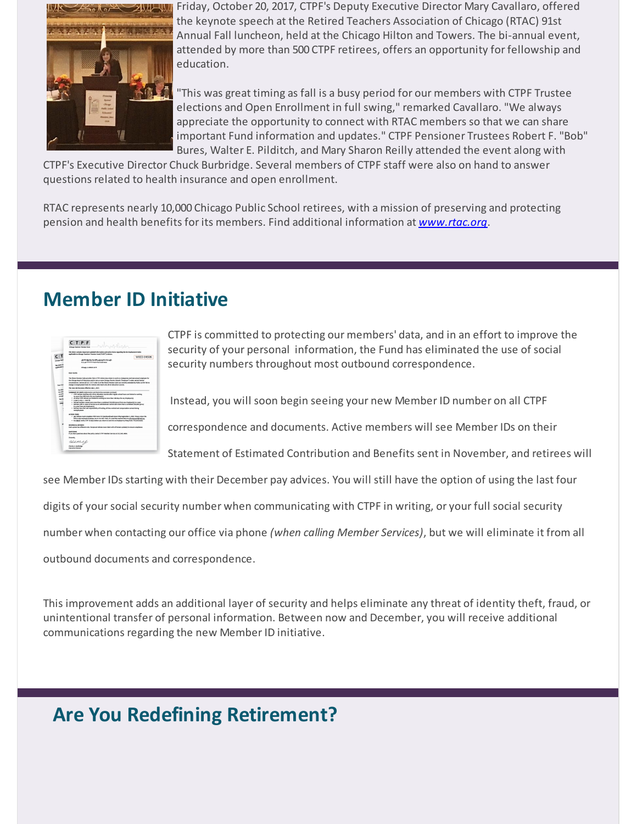

Friday, October 20, 2017, CTPF's Deputy Executive Director Mary Cavallaro, offered the keynote speech at the Retired Teachers Association of Chicago (RTAC) 91st Annual Fall luncheon, held at the Chicago Hilton and Towers. The bi-annual event, attended by more than 500 CTPF retirees, offers an opportunity for fellowship and education.

"This was great timing as fall is a busy period for our members with CTPF Trustee elections and Open Enrollment in full swing," remarked Cavallaro. "We always appreciate the opportunity to connect with RTAC members so that we can share important Fund information and updates." CTPF Pensioner Trustees Robert F. "Bob" Bures, Walter E. Pilditch, and Mary Sharon Reilly attended the event along with

CTPF's Executive Director Chuck Burbridge. Several members of CTPF staff were also on hand to answer questions related to health insurance and open enrollment.

RTAC represents nearly 10,000 Chicago Public School retirees, with a mission of preserving and protecting pension and health benefits for its members. Find additional information at *[www.rtac.org](http://r20.rs6.net/tn.jsp?f=001obXTbCYLdPSf5tmirvZ13831Bt27ilAy1PL5QPf5xmWDEbdx9HAJxkGRByJuXO9h06hV1a6l0oXbhXM567i6VFejX6I3tXfMebxOMQH0UWac-vuAGshC70V51aT5rE3Kcb2KshGYlB0t37VnmaIiypHxkFRTj6XS&c=&ch=)*.

## **Member ID Initiative**



CTPF is committed to protecting our members' data, and in an effort to improve the security of your personal information, the Fund has eliminated the use of social security numbers throughout most outbound correspondence.

Instead, you will soon begin seeing your new Member ID number on all CTPF

correspondence and documents. Active members will see Member IDs on their

Statement of Estimated Contribution and Benefits sent in November, and retirees will

see Member IDs starting with their December pay advices. You will still have the option of using the last four

digits of your social security number when communicating with CTPF in writing, or your full social security

number when contacting our office via phone *(when calling Member Services)*, but we will eliminate it from all

outbound documents and correspondence.

This improvement adds an additional layer of security and helps eliminate any threat of identity theft, fraud, or unintentional transfer of personal information. Between now and December, you will receive additional communications regarding the new Member ID initiative.

## **Are You Redefining Retirement?**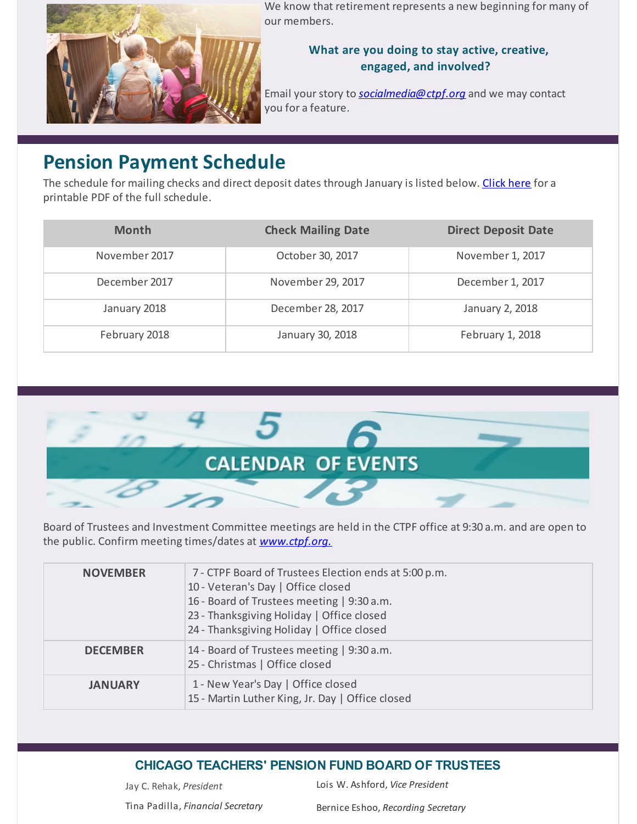

We know that retirement represents a new beginning for many of our members.

### **What are you doing to stay active, creative, engaged, and involved?**

Email your story to **[socialmedia@ctpf.org](mailto:socialmedia@ctpf.org)** and we may contact you for a feature.

## **Pension Payment Schedule**

The schedule for mailing checks and direct deposit dates through January is listed below. [Click](http://r20.rs6.net/tn.jsp?f=001obXTbCYLdPSf5tmirvZ13831Bt27ilAy1PL5QPf5xmWDEbdx9HAJxkIB47yjeBfqolxL_c8BIE7CatR9KFOXTrTyc1OH_-1t7IlnwCFNHqK2DYxjki-kesAsOfeidB-SVuMKVOktHkJMVKo2lZNcxfxqb3NlILCtJmC6eG7WifInVZK4Rplh8HkHXM0Nq1W2zQnwzhheBguqlYi59PxuaQ==&c=&ch=) here for a printable PDF of the full schedule.

| <b>Month</b>  | <b>Check Mailing Date</b> | <b>Direct Deposit Date</b> |  |
|---------------|---------------------------|----------------------------|--|
| November 2017 | October 30, 2017          | November 1, 2017           |  |
| December 2017 | November 29, 2017         | December 1, 2017           |  |
| January 2018  | December 28, 2017         | January 2, 2018            |  |
| February 2018 | January 30, 2018          | February 1, 2018           |  |



Board of Trustees and Investment Committee meetings are held in the CTPF office at 9:30 a.m. and are open to the public. Confirm meeting times/dates at *[www.ctpf.org.](http://r20.rs6.net/tn.jsp?f=001obXTbCYLdPSf5tmirvZ13831Bt27ilAy1PL5QPf5xmWDEbdx9HAJxkd4924Vg1qf3VE9Kx_xvopG9eV8gXQho0yO_EmnIqsEkpPaOcD_4kB_RkMLm00cQ0nShdY-3bdySTw9X89oPlq6_Pky7we5oQegV8lfFsqDLzuWHUyG9UGOajrtCSClsvH1WjRI0pqJMb8_oeHPels=&c=&ch=)*

| <b>NOVEMBER</b> | 7 - CTPF Board of Trustees Election ends at 5:00 p.m.<br>10 - Veteran's Day   Office closed<br>16 - Board of Trustees meeting   9:30 a.m.<br>23 - Thanksgiving Holiday   Office closed<br>24 - Thanksgiving Holiday   Office closed |
|-----------------|-------------------------------------------------------------------------------------------------------------------------------------------------------------------------------------------------------------------------------------|
| <b>DECEMBER</b> | 14 - Board of Trustees meeting   9:30 a.m.<br>25 - Christmas   Office closed                                                                                                                                                        |
| <b>JANUARY</b>  | 1 - New Year's Day   Office closed<br>15 - Martin Luther King, Jr. Day   Office closed                                                                                                                                              |

### **CHICAGO TEACHERS' PENSION FUND BOARD OF TRUSTEES**

Jay C. Rehak, *President* Lois W. Ashford, *Vice President*

Tina Padilla, *Financial Secretary* Bernice Eshoo, *Recording Secretary*